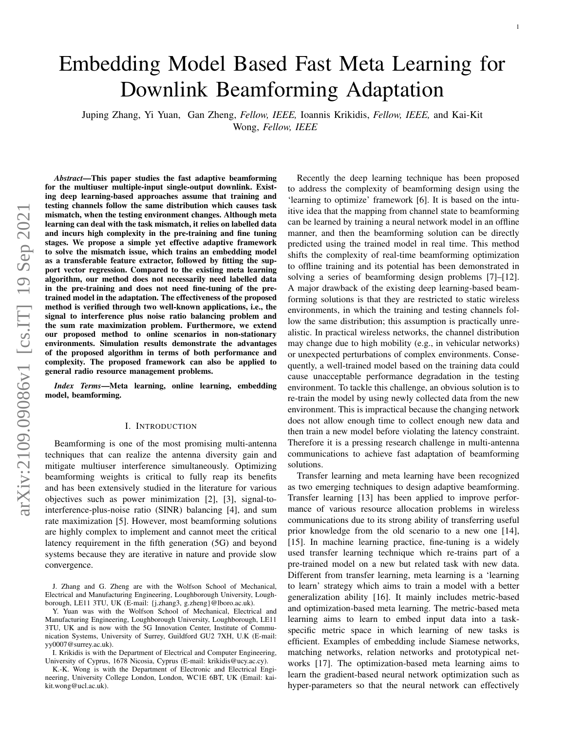# Embedding Model Based Fast Meta Learning for Downlink Beamforming Adaptation

Juping Zhang, Yi Yuan, Gan Zheng, *Fellow, IEEE,* Ioannis Krikidis, *Fellow, IEEE,* and Kai-Kit Wong, *Fellow, IEEE*

*Abstract*—This paper studies the fast adaptive beamforming for the multiuser multiple-input single-output downlink. Existing deep learning-based approaches assume that training and testing channels follow the same distribution which causes task mismatch, when the testing environment changes. Although meta learning can deal with the task mismatch, it relies on labelled data and incurs high complexity in the pre-training and fine tuning stages. We propose a simple yet effective adaptive framework to solve the mismatch issue, which trains an embedding model as a transferable feature extractor, followed by fitting the support vector regression. Compared to the existing meta learning algorithm, our method does not necessarily need labelled data in the pre-training and does not need fine-tuning of the pretrained model in the adaptation. The effectiveness of the proposed method is verified through two well-known applications, i.e., the signal to interference plus noise ratio balancing problem and the sum rate maximization problem. Furthermore, we extend our proposed method to online scenarios in non-stationary environments. Simulation results demonstrate the advantages of the proposed algorithm in terms of both performance and complexity. The proposed framework can also be applied to general radio resource management problems.

*Index Terms*—Meta learning, online learning, embedding model, beamforming.

#### I. INTRODUCTION

Beamforming is one of the most promising multi-antenna techniques that can realize the antenna diversity gain and mitigate multiuser interference simultaneously. Optimizing beamforming weights is critical to fully reap its benefits and has been extensively studied in the literature for various objectives such as power minimization [2], [3], signal-tointerference-plus-noise ratio (SINR) balancing [4], and sum rate maximization [5]. However, most beamforming solutions are highly complex to implement and cannot meet the critical latency requirement in the fifth generation (5G) and beyond systems because they are iterative in nature and provide slow convergence.

Recently the deep learning technique has been proposed to address the complexity of beamforming design using the 'learning to optimize' framework [6]. It is based on the intuitive idea that the mapping from channel state to beamforming can be learned by training a neural network model in an offline manner, and then the beamforming solution can be directly predicted using the trained model in real time. This method shifts the complexity of real-time beamforming optimization to offline training and its potential has been demonstrated in solving a series of beamforming design problems [7]–[12]. A major drawback of the existing deep learning-based beamforming solutions is that they are restricted to static wireless environments, in which the training and testing channels follow the same distribution; this assumption is practically unrealistic. In practical wireless networks, the channel distribution may change due to high mobility (e.g., in vehicular networks) or unexpected perturbations of complex environments. Consequently, a well-trained model based on the training data could cause unacceptable performance degradation in the testing environment. To tackle this challenge, an obvious solution is to re-train the model by using newly collected data from the new environment. This is impractical because the changing network does not allow enough time to collect enough new data and then train a new model before violating the latency constraint. Therefore it is a pressing research challenge in multi-antenna communications to achieve fast adaptation of beamforming solutions.

Transfer learning and meta learning have been recognized as two emerging techniques to design adaptive beamforming. Transfer learning [13] has been applied to improve performance of various resource allocation problems in wireless communications due to its strong ability of transferring useful prior knowledge from the old scenario to a new one [14], [15]. In machine learning practice, fine-tuning is a widely used transfer learning technique which re-trains part of a pre-trained model on a new but related task with new data. Different from transfer learning, meta learning is a 'learning to learn' strategy which aims to train a model with a better generalization ability [16]. It mainly includes metric-based and optimization-based meta learning. The metric-based meta learning aims to learn to embed input data into a taskspecific metric space in which learning of new tasks is efficient. Examples of embedding include Siamese networks, matching networks, relation networks and prototypical networks [17]. The optimization-based meta learning aims to learn the gradient-based neural network optimization such as hyper-parameters so that the neural network can effectively

J. Zhang and G. Zheng are with the Wolfson School of Mechanical, Electrical and Manufacturing Engineering, Loughborough University, Loughborough, LE11 3TU, UK (E-mail: {j.zhang3, g.zheng}@lboro.ac.uk).

Y. Yuan was with the Wolfson School of Mechanical, Electrical and Manufacturing Engineering, Loughborough University, Loughborough, LE11 3TU, UK and is now with the 5G Innovation Center, Institute of Communication Systems, University of Surrey, Guildford GU2 7XH, U.K (E-mail: yy0007@surrey.ac.uk).

I. Krikidis is with the Department of Electrical and Computer Engineering, University of Cyprus, 1678 Nicosia, Cyprus (E-mail: krikidis@ucy.ac.cy).

K.-K. Wong is with the Department of Electronic and Electrical Engineering, University College London, London, WC1E 6BT, UK (Email: kaikit.wong@ucl.ac.uk).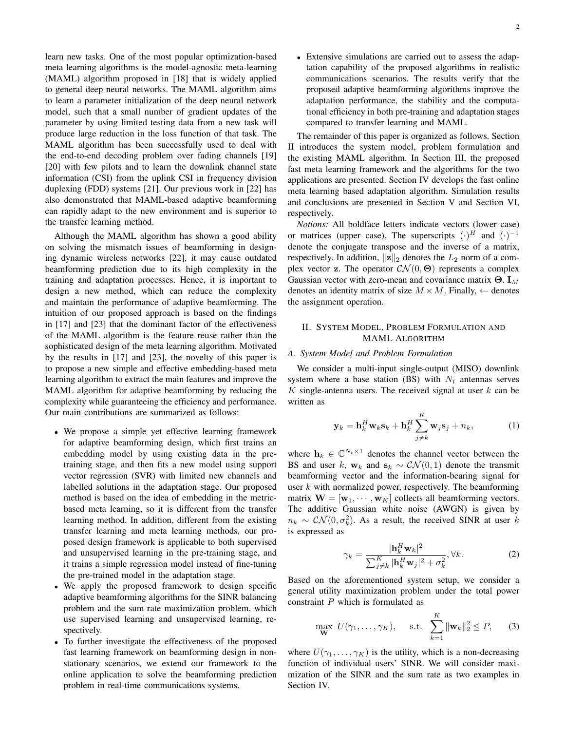learn new tasks. One of the most popular optimization-based meta learning algorithms is the model-agnostic meta-learning (MAML) algorithm proposed in [18] that is widely applied to general deep neural networks. The MAML algorithm aims to learn a parameter initialization of the deep neural network model, such that a small number of gradient updates of the parameter by using limited testing data from a new task will produce large reduction in the loss function of that task. The MAML algorithm has been successfully used to deal with the end-to-end decoding problem over fading channels [19] [20] with few pilots and to learn the downlink channel state information (CSI) from the uplink CSI in frequency division duplexing (FDD) systems [21]. Our previous work in [22] has also demonstrated that MAML-based adaptive beamforming can rapidly adapt to the new environment and is superior to the transfer learning method.

Although the MAML algorithm has shown a good ability on solving the mismatch issues of beamforming in designing dynamic wireless networks [22], it may cause outdated beamforming prediction due to its high complexity in the training and adaptation processes. Hence, it is important to design a new method, which can reduce the complexity and maintain the performance of adaptive beamforming. The intuition of our proposed approach is based on the findings in [17] and [23] that the dominant factor of the effectiveness of the MAML algorithm is the feature reuse rather than the sophisticated design of the meta learning algorithm. Motivated by the results in [17] and [23], the novelty of this paper is to propose a new simple and effective embedding-based meta learning algorithm to extract the main features and improve the MAML algorithm for adaptive beamforming by reducing the complexity while guaranteeing the efficiency and performance. Our main contributions are summarized as follows:

- We propose a simple yet effective learning framework for adaptive beamforming design, which first trains an embedding model by using existing data in the pretraining stage, and then fits a new model using support vector regression (SVR) with limited new channels and labelled solutions in the adaptation stage. Our proposed method is based on the idea of embedding in the metricbased meta learning, so it is different from the transfer learning method. In addition, different from the existing transfer learning and meta learning methods, our proposed design framework is applicable to both supervised and unsupervised learning in the pre-training stage, and it trains a simple regression model instead of fine-tuning the pre-trained model in the adaptation stage.
- We apply the proposed framework to design specific adaptive beamforming algorithms for the SINR balancing problem and the sum rate maximization problem, which use supervised learning and unsupervised learning, respectively.
- To further investigate the effectiveness of the proposed fast learning framework on beamforming design in nonstationary scenarios, we extend our framework to the online application to solve the beamforming prediction problem in real-time communications systems.

• Extensive simulations are carried out to assess the adaptation capability of the proposed algorithms in realistic communications scenarios. The results verify that the proposed adaptive beamforming algorithms improve the adaptation performance, the stability and the computational efficiency in both pre-training and adaptation stages compared to transfer learning and MAML.

The remainder of this paper is organized as follows. Section II introduces the system model, problem formulation and the existing MAML algorithm. In Section III, the proposed fast meta learning framework and the algorithms for the two applications are presented. Section IV develops the fast online meta learning based adaptation algorithm. Simulation results and conclusions are presented in Section V and Section VI, respectively.

*Notions:* All boldface letters indicate vectors (lower case) or matrices (upper case). The superscripts  $(\cdot)^H$  and  $(\cdot)^{-1}$ denote the conjugate transpose and the inverse of a matrix, respectively. In addition,  $||\mathbf{z}||_2$  denotes the  $L_2$  norm of a complex vector **z**. The operator  $\mathcal{CN}(0,\Theta)$  represents a complex Gaussian vector with zero-mean and covariance matrix  $\Theta$ . I<sub>M</sub> denotes an identity matrix of size  $M \times M$ . Finally,  $\leftarrow$  denotes the assignment operation.

## II. SYSTEM MODEL, PROBLEM FORMULATION AND MAML ALGORITHM

## *A. System Model and Problem Formulation*

We consider a multi-input single-output (MISO) downlink system where a base station (BS) with  $N_t$  antennas serves  $K$  single-antenna users. The received signal at user  $k$  can be written as

$$
\mathbf{y}_k = \mathbf{h}_k^H \mathbf{w}_k \mathbf{s}_k + \mathbf{h}_k^H \sum_{j \neq k}^K \mathbf{w}_j \mathbf{s}_j + n_k, \tag{1}
$$

where  $\mathbf{h}_k \in \mathbb{C}^{N_t \times 1}$  denotes the channel vector between the BS and user k,  $w_k$  and  $s_k \sim \mathcal{CN}(0, 1)$  denote the transmit beamforming vector and the information-bearing signal for user  $k$  with normalized power, respectively. The beamforming matrix  $\mathbf{W} = [\mathbf{w}_1, \cdots, \mathbf{w}_K]$  collects all beamforming vectors. The additive Gaussian white noise (AWGN) is given by  $n_k \sim \mathcal{CN}(0, \sigma_k^2)$ . As a result, the received SINR at user k is expressed as

$$
\gamma_k = \frac{|\mathbf{h}_k^H \mathbf{w}_k|^2}{\sum_{j \neq k}^K |\mathbf{h}_k^H \mathbf{w}_j|^2 + \sigma_k^2}, \forall k. \tag{2}
$$

Based on the aforementioned system setup, we consider a general utility maximization problem under the total power constraint  $P$  which is formulated as

$$
\max_{\mathbf{W}} U(\gamma_1, \dots, \gamma_K), \quad \text{s.t.} \quad \sum_{k=1}^K \|\mathbf{w}_k\|_2^2 \le P, \qquad (3)
$$

where  $U(\gamma_1, \ldots, \gamma_K)$  is the utility, which is a non-decreasing function of individual users' SINR. We will consider maximization of the SINR and the sum rate as two examples in Section IV.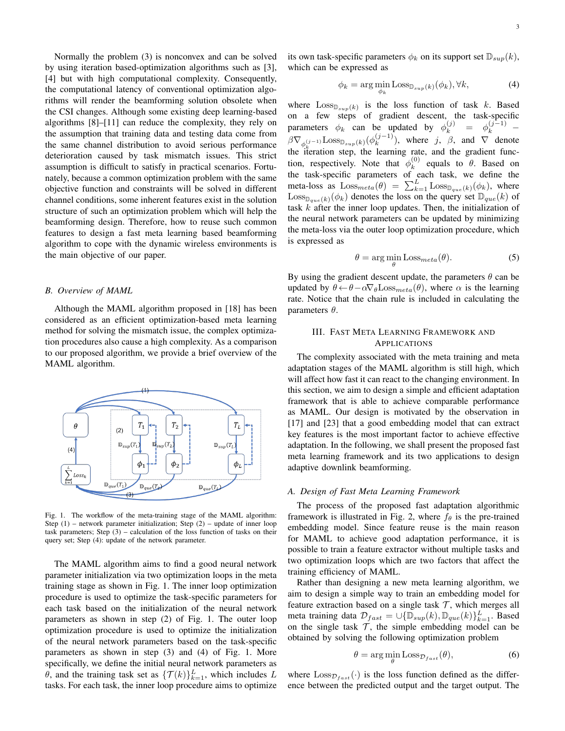Normally the problem (3) is nonconvex and can be solved by using iteration based-optimization algorithms such as [3], [4] but with high computational complexity. Consequently, the computational latency of conventional optimization algorithms will render the beamforming solution obsolete when the CSI changes. Although some existing deep learning-based algorithms [8]–[11] can reduce the complexity, they rely on the assumption that training data and testing data come from the same channel distribution to avoid serious performance deterioration caused by task mismatch issues. This strict assumption is difficult to satisfy in practical scenarios. Fortunately, because a common optimization problem with the same objective function and constraints will be solved in different channel conditions, some inherent features exist in the solution structure of such an optimization problem which will help the beamforming design. Therefore, how to reuse such common features to design a fast meta learning based beamforming algorithm to cope with the dynamic wireless environments is the main objective of our paper.

### *B. Overview of MAML*

Although the MAML algorithm proposed in [18] has been considered as an efficient optimization-based meta learning method for solving the mismatch issue, the complex optimization procedures also cause a high complexity. As a comparison to our proposed algorithm, we provide a brief overview of the MAML algorithm.



Fig. 1. The workflow of the meta-training stage of the MAML algorithm: Step  $(1)$  – network parameter initialization; Step  $(2)$  – update of inner loop task parameters; Step (3) – calculation of the loss function of tasks on their query set; Step (4): update of the network parameter.

The MAML algorithm aims to find a good neural network parameter initialization via two optimization loops in the meta training stage as shown in Fig. 1. The inner loop optimization procedure is used to optimize the task-specific parameters for each task based on the initialization of the neural network parameters as shown in step (2) of Fig. 1. The outer loop optimization procedure is used to optimize the initialization of the neural network parameters based on the task-specific parameters as shown in step (3) and (4) of Fig. 1. More specifically, we define the initial neural network parameters as  $\theta$ , and the training task set as  $\{\mathcal{T}(k)\}_{k=1}^L$ , which includes L tasks. For each task, the inner loop procedure aims to optimize its own task-specific parameters  $\phi_k$  on its support set  $\mathbb{D}_{sup}(k)$ , which can be expressed as

$$
\phi_k = \arg\min_{\phi_k} \text{Loss}_{\mathbb{D}_{sup}(k)}(\phi_k), \forall k,
$$
\n(4)

where  $\text{Loss}_{\mathbb{D}_{sup}(k)}$  is the loss function of task k. Based on a few steps of gradient descent, the task-specific parameters  $\phi_k$  can be updated by  $\phi_k^{(j)} = \phi_k^{(j-1)}$  –  $\beta\nabla_{\phi_k^{(j-1)}}\text{Loss}_{\mathbb{D}_{sup}(k)}(\phi_k^{(j-1)})$  $\binom{(J-1)}{k}$ , where j,  $\beta$ , and  $\nabla$  denote the iteration step, the learning rate, and the gradient function, respectively. Note that  $\phi_k^{(0)}$  $k^{(0)}$  equals to  $\theta$ . Based on the task-specific parameters of each task, we define the meta-loss as  $\text{Loss}_{meta}(\theta) = \sum_{k=1}^{L} \text{Loss}_{\mathbb{D}_{que}(k)}(\phi_k)$ , where  $\text{Loss}_{\mathbb{D}_{que}(k)}(\phi_k)$  denotes the loss on the query set  $\mathbb{D}_{que}(k)$  of task  $k$  after the inner loop updates. Then, the initialization of the neural network parameters can be updated by minimizing the meta-loss via the outer loop optimization procedure, which is expressed as

$$
\theta = \arg\min_{\theta} \text{Loss}_{meta}(\theta). \tag{5}
$$

By using the gradient descent update, the parameters  $\theta$  can be updated by  $\theta \leftarrow \theta - \alpha \nabla_{\theta} \text{Loss}_{meta}(\theta)$ , where  $\alpha$  is the learning rate. Notice that the chain rule is included in calculating the parameters  $\theta$ .

## III. FAST META LEARNING FRAMEWORK AND APPLICATIONS

The complexity associated with the meta training and meta adaptation stages of the MAML algorithm is still high, which will affect how fast it can react to the changing environment. In this section, we aim to design a simple and efficient adaptation framework that is able to achieve comparable performance as MAML. Our design is motivated by the observation in [17] and [23] that a good embedding model that can extract key features is the most important factor to achieve effective adaptation. In the following, we shall present the proposed fast meta learning framework and its two applications to design adaptive downlink beamforming.

#### *A. Design of Fast Meta Learning Framework*

The process of the proposed fast adaptation algorithmic framework is illustrated in Fig. 2, where  $f_{\theta}$  is the pre-trained embedding model. Since feature reuse is the main reason for MAML to achieve good adaptation performance, it is possible to train a feature extractor without multiple tasks and two optimization loops which are two factors that affect the training efficiency of MAML.

Rather than designing a new meta learning algorithm, we aim to design a simple way to train an embedding model for feature extraction based on a single task  $\mathcal{T}$ , which merges all meta training data  $\mathcal{D}_{fast} = \cup {\{\overline{\mathbb{D}}_{sup}(k), \mathbb{D}_{que}(k)\}_{k=1}^L}$ . Based on the single task  $T$ , the simple embedding model can be obtained by solving the following optimization problem

$$
\theta = \arg\min_{\theta} \text{Loss}_{\mathcal{D}_{fast}}(\theta),\tag{6}
$$

where  $\text{Loss}_{\mathcal{D}_{fast}}(\cdot)$  is the loss function defined as the difference between the predicted output and the target output. The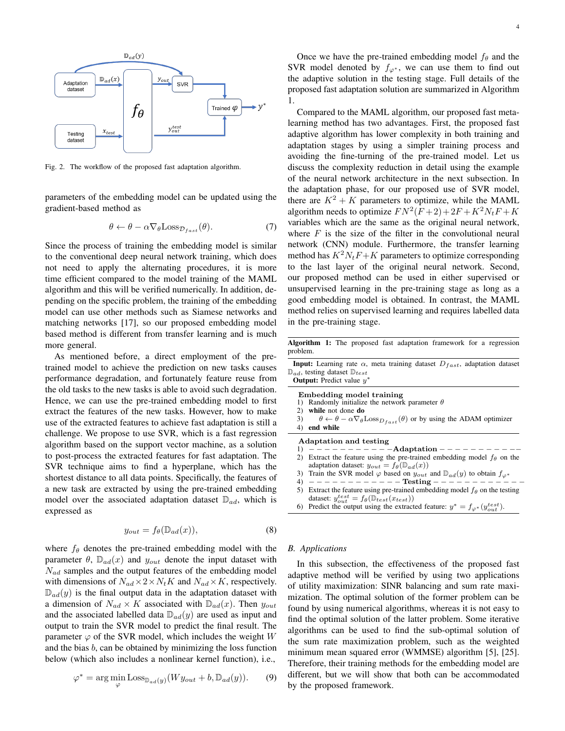

Fig. 2. The workflow of the proposed fast adaptation algorithm.

parameters of the embedding model can be updated using the gradient-based method as

$$
\theta \leftarrow \theta - \alpha \nabla_{\theta} \text{Loss}_{\mathcal{D}_{fast}}(\theta). \tag{7}
$$

Since the process of training the embedding model is similar to the conventional deep neural network training, which does not need to apply the alternating procedures, it is more time efficient compared to the model training of the MAML algorithm and this will be verified numerically. In addition, depending on the specific problem, the training of the embedding model can use other methods such as Siamese networks and matching networks [17], so our proposed embedding model based method is different from transfer learning and is much more general.

As mentioned before, a direct employment of the pretrained model to achieve the prediction on new tasks causes performance degradation, and fortunately feature reuse from the old tasks to the new tasks is able to avoid such degradation. Hence, we can use the pre-trained embedding model to first extract the features of the new tasks. However, how to make use of the extracted features to achieve fast adaptation is still a challenge. We propose to use SVR, which is a fast regression algorithm based on the support vector machine, as a solution to post-process the extracted features for fast adaptation. The SVR technique aims to find a hyperplane, which has the shortest distance to all data points. Specifically, the features of a new task are extracted by using the pre-trained embedding model over the associated adaptation dataset  $\mathbb{D}_{ad}$ , which is expressed as

$$
y_{out} = f_{\theta}(\mathbb{D}_{ad}(x)), \tag{8}
$$

where  $f_{\theta}$  denotes the pre-trained embedding model with the parameter  $\theta$ ,  $\mathbb{D}_{ad}(x)$  and  $y_{out}$  denote the input dataset with  $N_{ad}$  samples and the output features of the embedding model with dimensions of  $N_{ad} \times 2 \times N_t K$  and  $N_{ad} \times K$ , respectively.  $\mathbb{D}_{ad}(y)$  is the final output data in the adaptation dataset with a dimension of  $N_{ad} \times K$  associated with  $\mathbb{D}_{ad}(x)$ . Then  $y_{out}$ and the associated labelled data  $\mathbb{D}_{ad}(y)$  are used as input and output to train the SVR model to predict the final result. The parameter  $\varphi$  of the SVR model, which includes the weight W and the bias  $b$ , can be obtained by minimizing the loss function below (which also includes a nonlinear kernel function), i.e.,

$$
\varphi^* = \arg\min_{\varphi} \text{Loss}_{\mathbb{D}_{ad}(y)}(Wy_{out} + b, \mathbb{D}_{ad}(y)).
$$
 (9)

Once we have the pre-trained embedding model  $f_\theta$  and the SVR model denoted by  $f_{\varphi^*}$ , we can use them to find out the adaptive solution in the testing stage. Full details of the proposed fast adaptation solution are summarized in Algorithm 1.

Compared to the MAML algorithm, our proposed fast metalearning method has two advantages. First, the proposed fast adaptive algorithm has lower complexity in both training and adaptation stages by using a simpler training process and avoiding the fine-turning of the pre-trained model. Let us discuss the complexity reduction in detail using the example of the neural network architecture in the next subsection. In the adaptation phase, for our proposed use of SVR model, there are  $K^2 + K$  parameters to optimize, while the MAML algorithm needs to optimize  $FN^2(F+2) + 2F + K^2N_tF + K$ variables which are the same as the original neural network, where  $F$  is the size of the filter in the convolutional neural network (CNN) module. Furthermore, the transfer learning method has  $K^2N_tF + K$  parameters to optimize corresponding to the last layer of the original neural network. Second, our proposed method can be used in either supervised or unsupervised learning in the pre-training stage as long as a good embedding model is obtained. In contrast, the MAML method relies on supervised learning and requires labelled data in the pre-training stage.

Algorithm 1: The proposed fast adaptation framework for a regression problem.

| <b>Input:</b> Learning rate $\alpha$ , meta training dataset $D_{fast}$ , adaptation dataset |  |  |  |
|----------------------------------------------------------------------------------------------|--|--|--|
| $\mathbb{D}_{ad}$ , testing dataset $\mathbb{D}_{test}$                                      |  |  |  |
| <b>Output:</b> Predict value $y^*$                                                           |  |  |  |
| Embedding model training                                                                     |  |  |  |

- 1) Randomly initialize the network parameter  $\theta$
- 2) while not done do
- 3)  $\theta \leftarrow \theta \alpha \nabla_{\theta} \text{Loss}_{D_{fast}}(\theta)$  or by using the ADAM optimizer 4) end while
- end while

Adaptation and testing

- 1) − − − − − − − − − − −Adaptation − − − − − − − − − −− 2) Extract the feature using the pre-trained embedding model  $f_\theta$  on the
- adaptation dataset:  $y_{out} = f_{\theta}(\mathbb{D}_{ad}(x))$
- 3) Train the SVR model  $\varphi$  based on  $y_{out}$  and  $\mathbb{D}_{ad}(y)$  to obtain  $f_{\varphi^*}$ <br>4)  $-$  - - - - - Testing - - - - - -4) − − − − − − − − − − − − Testing − − − − − − − − − − − −
- 5) Extract the feature using pre-trained embedding model  $f_{\theta}$  on the testing dataset:  $y_{out}^{test} = f_{\theta}(\mathbb{D}_{test}(x_{test}))$
- 6) Predict the output using the extracted feature:  $y^* = f_{\varphi^*}(y_{out}^{test})$ .

## *B. Applications*

In this subsection, the effectiveness of the proposed fast adaptive method will be verified by using two applications of utility maximization: SINR balancing and sum rate maximization. The optimal solution of the former problem can be found by using numerical algorithms, whereas it is not easy to find the optimal solution of the latter problem. Some iterative algorithms can be used to find the sub-optimal solution of the sum rate maximization problem, such as the weighted minimum mean squared error (WMMSE) algorithm [5], [25]. Therefore, their training methods for the embedding model are different, but we will show that both can be accommodated by the proposed framework.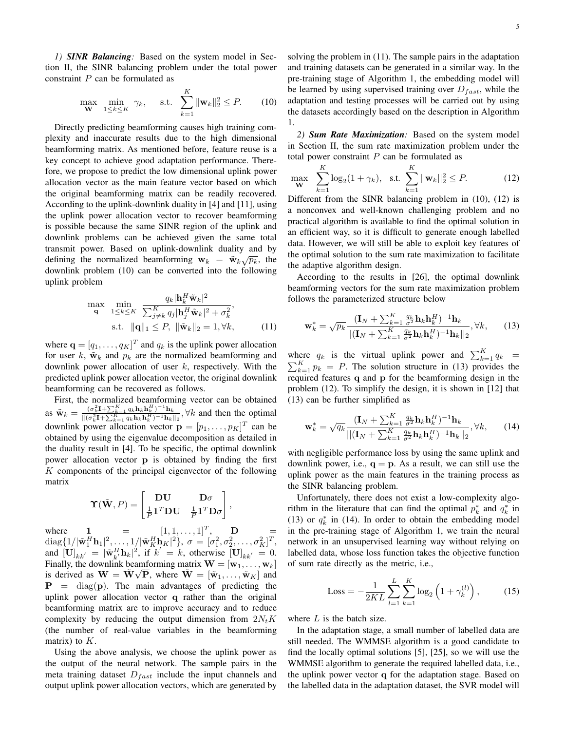*1) SINR Balancing:* Based on the system model in Section II, the SINR balancing problem under the total power constraint P can be formulated as

$$
\max_{\mathbf{W}} \ \min_{1 \le k \le K} \ \gamma_k, \quad \text{s.t.} \ \sum_{k=1}^K \|\mathbf{w}_k\|_2^2 \le P. \tag{10}
$$

Directly predicting beamforming causes high training complexity and inaccurate results due to the high dimensional beamforming matrix. As mentioned before, feature reuse is a key concept to achieve good adaptation performance. Therefore, we propose to predict the low dimensional uplink power allocation vector as the main feature vector based on which the original beamforming matrix can be readily recovered. According to the uplink-downlink duality in [4] and [11], using the uplink power allocation vector to recover beamforming is possible because the same SINR region of the uplink and downlink problems can be achieved given the same total transmit power. Based on uplink-downlink duality and by defining the normalized beamforming  $w_k = \tilde{w}_k \sqrt{p_k}$ , the downlink problem (10) can be converted into the following uplink problem

$$
\max_{\mathbf{q}} \min_{1 \le k \le K} \frac{q_k |\mathbf{h}_k^H \tilde{\mathbf{w}}_k|^2}{\sum_{j \ne k}^K q_j |\mathbf{h}_j^H \tilde{\mathbf{w}}_k|^2 + \sigma_k^2},
$$
  
s.t.  $\|\mathbf{q}\|_1 \le P, \|\tilde{\mathbf{w}}_k\|_2 = 1, \forall k,$  (11)

where  $\mathbf{q} = [q_1, \dots, q_K]^T$  and  $q_k$  is the uplink power allocation for user k,  $\tilde{\mathbf{w}}_k$  and  $p_k$  are the normalized beamforming and downlink power allocation of user  $k$ , respectively. With the predicted uplink power allocation vector, the original downlink beamforming can be recovered as follows.

First, the normalized beamforming vector can be obtained as  $\tilde{\mathbf{w}}_k = \frac{(\sigma_k^2 \mathbf{I} + \sum_{k=1}^K q_k \mathbf{h}_k \mathbf{h}_k^H)^{-1} \mathbf{h}_k}{\|(\sigma_k^2 \mathbf{I} + \sum_{k=1}^K q_k \mathbf{h}_k \mathbf{h}_k^H)^{-1} \mathbf{h}_k}$  $\frac{(\sigma_k \mathbf{1} + \sum_{k=1}^K q_k \mathbf{n}_k \mathbf{n}_k)}{\|(\sigma_k^2 \mathbf{1} + \sum_{k=1}^K q_k \mathbf{n}_k \mathbf{n}_k^H)^{-1} \mathbf{n}_k\|_2}, \forall k$  and then the optimal downlink power allocation vector  $\mathbf{p} = [p_1, \dots, p_K]^T$  can be obtained by using the eigenvalue decomposition as detailed in the duality result in [4]. To be specific, the optimal downlink power allocation vector p is obtained by finding the first  $K$  components of the principal eigenvector of the following matrix

$$
\boldsymbol{\Upsilon}(\tilde{\mathbf{W}},P) = \begin{bmatrix} \mathbf{DU} & \mathbf{D}\sigma \\ \frac{1}{P}\mathbf{1}^T\mathbf{DU} & \frac{1}{P}\mathbf{1}^T\mathbf{D}\sigma \end{bmatrix},
$$

where 1 =  $[1, 1, ..., 1]^T$ , D =  $\text{diag}\{1/|\tilde{\textbf{w}}_1^H\textbf{h}_1|^2, \dots, 1/|\tilde{\textbf{w}}_K^H\textbf{h}_K|^2\}, \ \sigma = [\sigma_1^2, \sigma_2^2, \dots, \sigma_K^2]^T,$ and  $[\mathbf{U}]_{kk'} = |\tilde{\mathbf{w}}_{k'}^H \mathbf{h}_k|^2$ , if  $k' = k$ , otherwise  $[\mathbf{U}]_{kk'} = 0$ . Finally, the downlink beamforming matrix  $\mathbf{W} = [\mathbf{w}_1, \dots, \mathbf{w}_k]$ is derived as  $\mathbf{W} = \tilde{\mathbf{W}} \sqrt{\mathbf{P}}$ , where  $\tilde{\mathbf{W}} = [\tilde{\mathbf{w}}_1, \dots, \tilde{\mathbf{w}}_K]$  and  $P = diag(p)$ . The main advantages of predicting the uplink power allocation vector q rather than the original beamforming matrix are to improve accuracy and to reduce complexity by reducing the output dimension from  $2N_tK$ (the number of real-value variables in the beamforming matrix) to  $K$ .

Using the above analysis, we choose the uplink power as the output of the neural network. The sample pairs in the meta training dataset  $D_{fast}$  include the input channels and output uplink power allocation vectors, which are generated by solving the problem in (11). The sample pairs in the adaptation and training datasets can be generated in a similar way. In the pre-training stage of Algorithm 1, the embedding model will be learned by using supervised training over  $D_{fast}$ , while the adaptation and testing processes will be carried out by using the datasets accordingly based on the description in Algorithm 1.

*2) Sum Rate Maximization:* Based on the system model in Section II, the sum rate maximization problem under the total power constraint  $P$  can be formulated as

$$
\max_{\mathbf{W}} \sum_{k=1}^{K} \log_2(1+\gamma_k), \quad \text{s.t.} \quad \sum_{k=1}^{K} ||\mathbf{w}_k||_2^2 \le P. \tag{12}
$$

Different from the SINR balancing problem in (10), (12) is a nonconvex and well-known challenging problem and no practical algorithm is available to find the optimal solution in an efficient way, so it is difficult to generate enough labelled data. However, we will still be able to exploit key features of the optimal solution to the sum rate maximization to facilitate the adaptive algorithm design.

According to the results in [26], the optimal downlink beamforming vectors for the sum rate maximization problem follows the parameterized structure below

$$
\mathbf{w}_{k}^{*} = \sqrt{p_{k}} \frac{(\mathbf{I}_{N} + \sum_{k=1}^{K} \frac{q_{k}}{\sigma^{2}} \mathbf{h}_{k} \mathbf{h}_{k}^{H})^{-1} \mathbf{h}_{k}}{||(\mathbf{I}_{N} + \sum_{k=1}^{K} \frac{q_{k}}{\sigma^{2}} \mathbf{h}_{k} \mathbf{h}_{k}^{H})^{-1} \mathbf{h}_{k}||_{2}}, \forall k,
$$
 (13)

where  $q_k$  is the virtual uplink power and  $\sum_{k=1}^{K} q_k$  =  $\sum_{k=1}^{K} p_k = P$ . The solution structure in (13) provides the required features q and p for the beamforming design in the problem (12). To simplify the design, it is shown in [12] that (13) can be further simplified as

$$
\mathbf{w}_{k}^{*} = \sqrt{q_{k}} \frac{(\mathbf{I}_{N} + \sum_{k=1}^{K} \frac{q_{k}}{\sigma^{2}} \mathbf{h}_{k} \mathbf{h}_{k}^{H})^{-1} \mathbf{h}_{k}}{||(\mathbf{I}_{N} + \sum_{k=1}^{K} \frac{q_{k}}{\sigma^{2}} \mathbf{h}_{k} \mathbf{h}_{k}^{H})^{-1} \mathbf{h}_{k}||_{2}}, \forall k,
$$
 (14)

with negligible performance loss by using the same uplink and downlink power, i.e.,  $q = p$ . As a result, we can still use the uplink power as the main features in the training process as the SINR balancing problem.

Unfortunately, there does not exist a low-complexity algorithm in the literature that can find the optimal  $p_k^*$  and  $q_k^*$  in (13) or  $q_k^*$  in (14). In order to obtain the embedding model in the pre-training stage of Algorithm 1, we train the neural network in an unsupervised learning way without relying on labelled data, whose loss function takes the objective function of sum rate directly as the metric, i.e.,

$$
\text{Loss} = -\frac{1}{2KL} \sum_{l=1}^{L} \sum_{k=1}^{K} \log_2 \left( 1 + \gamma_k^{(l)} \right),\tag{15}
$$

where  $L$  is the batch size.

In the adaptation stage, a small number of labelled data are still needed. The WMMSE algorithm is a good candidate to find the locally optimal solutions [5], [25], so we will use the WMMSE algorithm to generate the required labelled data, i.e., the uplink power vector q for the adaptation stage. Based on the labelled data in the adaptation dataset, the SVR model will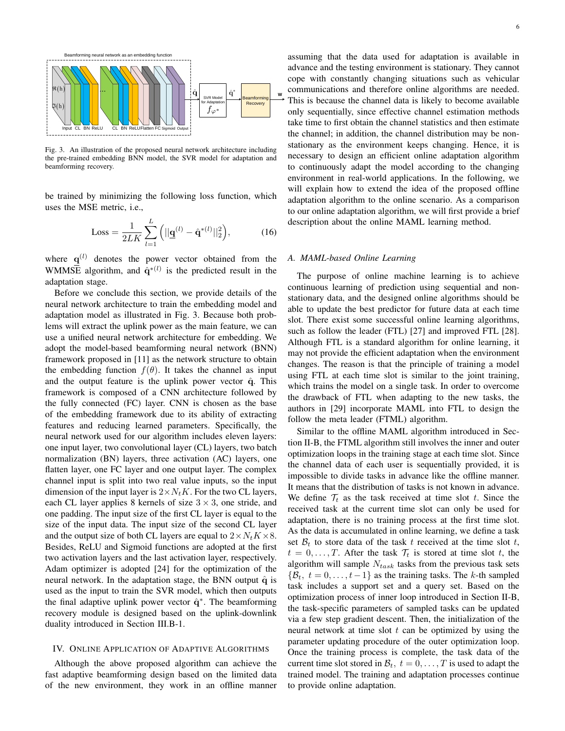

Fig. 3. An illustration of the proposed neural network architecture including the pre-trained embedding BNN model, the SVR model for adaptation and beamforming recovery.

be trained by minimizing the following loss function, which uses the MSE metric, i.e.,

Loss = 
$$
\frac{1}{2LK} \sum_{l=1}^{L} (||\mathbf{q}^{(l)} - \hat{\mathbf{q}}^{*(l)}||_2^2),
$$
 (16)

where  $q^{(l)}$  denotes the power vector obtained from the WMMSE algorithm, and  $\hat{\mathbf{q}}^{*(l)}$  is the predicted result in the adaptation stage.

Before we conclude this section, we provide details of the neural network architecture to train the embedding model and adaptation model as illustrated in Fig. 3. Because both problems will extract the uplink power as the main feature, we can use a unified neural network architecture for embedding. We adopt the model-based beamforming neural network (BNN) framework proposed in [11] as the network structure to obtain the embedding function  $f(\theta)$ . It takes the channel as input and the output feature is the uplink power vector  $\hat{q}$ . This framework is composed of a CNN architecture followed by the fully connected (FC) layer. CNN is chosen as the base of the embedding framework due to its ability of extracting features and reducing learned parameters. Specifically, the neural network used for our algorithm includes eleven layers: one input layer, two convolutional layer (CL) layers, two batch normalization (BN) layers, three activation (AC) layers, one flatten layer, one FC layer and one output layer. The complex channel input is split into two real value inputs, so the input dimension of the input layer is  $2 \times N_t K$ . For the two CL layers, each CL layer applies 8 kernels of size  $3 \times 3$ , one stride, and one padding. The input size of the first CL layer is equal to the size of the input data. The input size of the second CL layer and the output size of both CL layers are equal to  $2 \times N_t K \times 8$ . Besides, ReLU and Sigmoid functions are adopted at the first two activation layers and the last activation layer, respectively. Adam optimizer is adopted [24] for the optimization of the neural network. In the adaptation stage, the BNN output  $\hat{q}$  is used as the input to train the SVR model, which then outputs the final adaptive uplink power vector  $\hat{q}^*$ . The beamforming recovery module is designed based on the uplink-downlink duality introduced in Section III.B-1.

### IV. ONLINE APPLICATION OF ADAPTIVE ALGORITHMS

Although the above proposed algorithm can achieve the fast adaptive beamforming design based on the limited data of the new environment, they work in an offline manner

assuming that the data used for adaptation is available in advance and the testing environment is stationary. They cannot cope with constantly changing situations such as vehicular communications and therefore online algorithms are needed. This is because the channel data is likely to become available only sequentially, since effective channel estimation methods take time to first obtain the channel statistics and then estimate the channel; in addition, the channel distribution may be nonstationary as the environment keeps changing. Hence, it is necessary to design an efficient online adaptation algorithm to continuously adapt the model according to the changing environment in real-world applications. In the following, we will explain how to extend the idea of the proposed offline adaptation algorithm to the online scenario. As a comparison to our online adaptation algorithm, we will first provide a brief description about the online MAML learning method.

#### *A. MAML-based Online Learning*

The purpose of online machine learning is to achieve continuous learning of prediction using sequential and nonstationary data, and the designed online algorithms should be able to update the best predictor for future data at each time slot. There exist some successful online learning algorithms, such as follow the leader (FTL) [27] and improved FTL [28]. Although FTL is a standard algorithm for online learning, it may not provide the efficient adaptation when the environment changes. The reason is that the principle of training a model using FTL at each time slot is similar to the joint training, which trains the model on a single task. In order to overcome the drawback of FTL when adapting to the new tasks, the authors in [29] incorporate MAML into FTL to design the follow the meta leader (FTML) algorithm.

Similar to the offline MAML algorithm introduced in Section II-B, the FTML algorithm still involves the inner and outer optimization loops in the training stage at each time slot. Since the channel data of each user is sequentially provided, it is impossible to divide tasks in advance like the offline manner. It means that the distribution of tasks is not known in advance. We define  $\mathcal{T}_t$  as the task received at time slot t. Since the received task at the current time slot can only be used for adaptation, there is no training process at the first time slot. As the data is accumulated in online learning, we define a task set  $\mathcal{B}_t$  to store data of the task t received at the time slot t,  $t = 0, \ldots, T$ . After the task  $\mathcal{T}_t$  is stored at time slot t, the algorithm will sample  $N_{task}$  tasks from the previous task sets  $\{\mathcal{B}_t, t = 0, \ldots, t-1\}$  as the training tasks. The k-th sampled task includes a support set and a query set. Based on the optimization process of inner loop introduced in Section II-B, the task-specific parameters of sampled tasks can be updated via a few step gradient descent. Then, the initialization of the neural network at time slot  $t$  can be optimized by using the parameter updating procedure of the outer optimization loop. Once the training process is complete, the task data of the current time slot stored in  $\mathcal{B}_t$ ,  $t = 0, \ldots, T$  is used to adapt the trained model. The training and adaptation processes continue to provide online adaptation.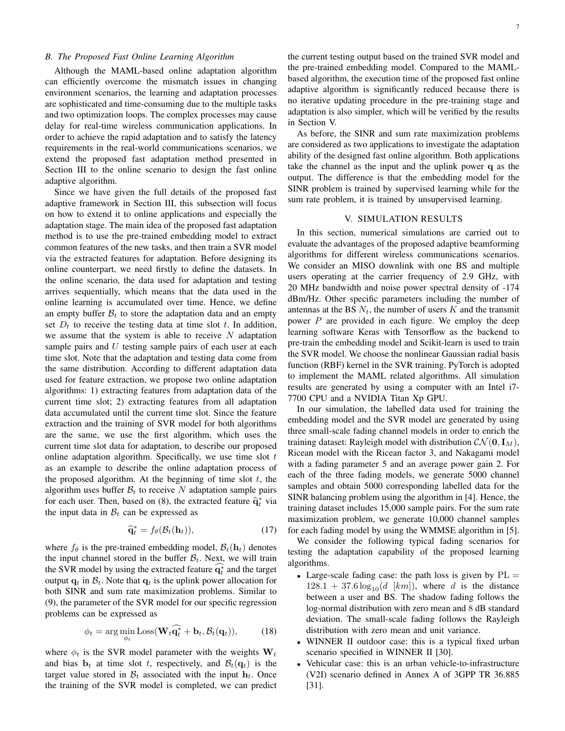## *B. The Proposed Fast Online Learning Algorithm*

Although the MAML-based online adaptation algorithm can efficiently overcome the mismatch issues in changing environment scenarios, the learning and adaptation processes are sophisticated and time-consuming due to the multiple tasks and two optimization loops. The complex processes may cause delay for real-time wireless communication applications. In order to achieve the rapid adaptation and to satisfy the latency requirements in the real-world communications scenarios, we extend the proposed fast adaptation method presented in Section III to the online scenario to design the fast online adaptive algorithm.

Since we have given the full details of the proposed fast adaptive framework in Section III, this subsection will focus on how to extend it to online applications and especially the adaptation stage. The main idea of the proposed fast adaptation method is to use the pre-trained embedding model to extract common features of the new tasks, and then train a SVR model via the extracted features for adaptation. Before designing its online counterpart, we need firstly to define the datasets. In the online scenario, the data used for adaptation and testing arrives sequentially, which means that the data used in the online learning is accumulated over time. Hence, we define an empty buffer  $\mathcal{B}_t$  to store the adaptation data and an empty set  $D_t$  to receive the testing data at time slot t. In addition, we assume that the system is able to receive  $N$  adaptation sample pairs and  $U$  testing sample pairs of each user at each time slot. Note that the adaptation and testing data come from the same distribution. According to different adaptation data used for feature extraction, we propose two online adaptation algorithms: 1) extracting features from adaptation data of the current time slot; 2) extracting features from all adaptation data accumulated until the current time slot. Since the feature extraction and the training of SVR model for both algorithms are the same, we use the first algorithm, which uses the current time slot data for adaptation, to describe our proposed online adaptation algorithm. Specifically, we use time slot  $t$ as an example to describe the online adaptation process of the proposed algorithm. At the beginning of time slot  $t$ , the algorithm uses buffer  $\mathcal{B}_t$  to receive N adaptation sample pairs for each user. Then, based on (8), the extracted feature  $\hat{q}_t^*$  via<br>the input data in  $\hat{B}$ , can be expressed as the input data in  $B_t$  can be expressed as

$$
\widehat{\mathbf{q}}_t^* = f_\theta(\mathcal{B}_t(\mathbf{h}_t)),\tag{17}
$$

where  $f_{\theta}$  is the pre-trained embedding model,  $\mathcal{B}_t(\mathbf{h}_t)$  denotes the input channel stored in the buffer  $B_t$ . Next, we will train the SVR model by using the extracted feature  $\widehat{q_t^*}$  and the target output  $q_t$  in  $\mathcal{B}_t$ . Note that  $q_t$  is the uplink power allocation for both SINR and sum rate maximization problems. Similar to (9), the parameter of the SVR model for our specific regression problems can be expressed as

$$
\phi_t = \arg\min_{\phi_t} \text{Loss}(\mathbf{W}_t \widehat{\mathbf{q}_t^*} + \mathbf{b}_t, \mathcal{B}_t(\mathbf{q}_t)),\tag{18}
$$

where  $\phi_t$  is the SVR model parameter with the weights  $W_t$ and bias  $\mathbf{b}_t$  at time slot t, respectively, and  $\mathcal{B}_t(\mathbf{q}_t)$  is the target value stored in  $B_t$  associated with the input  $h_t$ . Once the training of the SVR model is completed, we can predict

As before, the SINR and sum rate maximization problems are considered as two applications to investigate the adaptation ability of the designed fast online algorithm. Both applications take the channel as the input and the uplink power q as the output. The difference is that the embedding model for the SINR problem is trained by supervised learning while for the sum rate problem, it is trained by unsupervised learning.

#### V. SIMULATION RESULTS

In this section, numerical simulations are carried out to evaluate the advantages of the proposed adaptive beamforming algorithms for different wireless communications scenarios. We consider an MISO downlink with one BS and multiple users operating at the carrier frequency of 2.9 GHz, with 20 MHz bandwidth and noise power spectral density of -174 dBm/Hz. Other specific parameters including the number of antennas at the BS  $N_t$ , the number of users K and the transmit power  $P$  are provided in each figure. We employ the deep learning software Keras with Tensorflow as the backend to pre-train the embedding model and Scikit-learn is used to train the SVR model. We choose the nonlinear Gaussian radial basis function (RBF) kernel in the SVR training. PyTorch is adopted to implement the MAML related algorithms. All simulation results are generated by using a computer with an Intel i7- 7700 CPU and a NVIDIA Titan Xp GPU.

In our simulation, the labelled data used for training the embedding model and the SVR model are generated by using three small-scale fading channel models in order to enrich the training dataset: Rayleigh model with distribution  $\mathcal{CN}(\mathbf{0}, \mathbf{I}_M)$ , Ricean model with the Ricean factor 3, and Nakagami model with a fading parameter 5 and an average power gain 2. For each of the three fading models, we generate 5000 channel samples and obtain 5000 corresponding labelled data for the SINR balancing problem using the algorithm in [4]. Hence, the training dataset includes 15,000 sample pairs. For the sum rate maximization problem, we generate 10,000 channel samples for each fading model by using the WMMSE algorithm in [5].

We consider the following typical fading scenarios for testing the adaptation capability of the proposed learning algorithms.

- Large-scale fading case: the path loss is given by  $PL =$  $128.1 + 37.6 \log_{10}(d \text{ [km]})$ , where d is the distance between a user and BS. The shadow fading follows the log-normal distribution with zero mean and 8 dB standard deviation. The small-scale fading follows the Rayleigh distribution with zero mean and unit variance.
- WINNER II outdoor case: this is a typical fixed urban scenario specified in WINNER II [30].
- Vehicular case: this is an urban vehicle-to-infrastructure (V2I) scenario defined in Annex A of 3GPP TR 36.885 [31].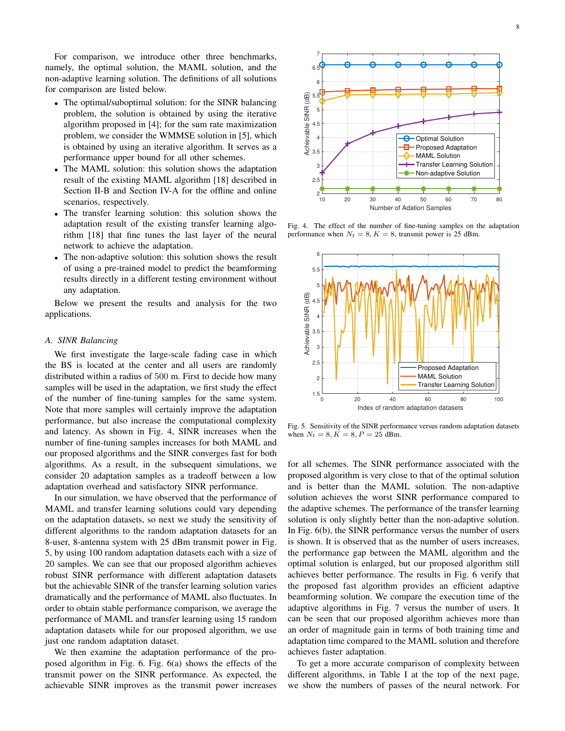For comparison, we introduce other three benchmarks, namely, the optimal solution, the MAML solution, and the non-adaptive learning solution. The definitions of all solutions for comparison are listed below.

- The optimal/suboptimal solution: for the SINR balancing problem, the solution is obtained by using the iterative algorithm proposed in [4]; for the sum rate maximization problem, we consider the WMMSE solution in [5], which is obtained by using an iterative algorithm. It serves as a performance upper bound for all other schemes.
- The MAML solution: this solution shows the adaptation result of the existing MAML algorithm [18] described in Section II-B and Section IV-A for the offline and online scenarios, respectively.
- The transfer learning solution: this solution shows the adaptation result of the existing transfer learning algorithm [18] that fine tunes the last layer of the neural network to achieve the adaptation.
- The non-adaptive solution: this solution shows the result of using a pre-trained model to predict the beamforming results directly in a different testing environment without any adaptation.

Below we present the results and analysis for the two applications.

#### *A. SINR Balancing*

We first investigate the large-scale fading case in which the BS is located at the center and all users are randomly distributed within a radius of 500 m. First to decide how many samples will be used in the adaptation, we first study the effect of the number of fine-tuning samples for the same system. Note that more samples will certainly improve the adaptation performance, but also increase the computational complexity and latency. As shown in Fig. 4, SINR increases when the number of fine-tuning samples increases for both MAML and our proposed algorithms and the SINR converges fast for both algorithms. As a result, in the subsequent simulations, we consider 20 adaptation samples as a tradeoff between a low adaptation overhead and satisfactory SINR performance.

In our simulation, we have observed that the performance of MAML and transfer learning solutions could vary depending on the adaptation datasets, so next we study the sensitivity of different algorithms to the random adaptation datasets for an 8-user, 8-antenna system with 25 dBm transmit power in Fig. 5, by using 100 random adaptation datasets each with a size of 20 samples. We can see that our proposed algorithm achieves robust SINR performance with different adaptation datasets but the achievable SINR of the transfer learning solution varies dramatically and the performance of MAML also fluctuates. In order to obtain stable performance comparison, we average the performance of MAML and transfer learning using 15 random adaptation datasets while for our proposed algorithm, we use just one random adaptation dataset.

We then examine the adaptation performance of the proposed algorithm in Fig. 6. Fig. 6(a) shows the effects of the transmit power on the SINR performance. As expected, the achievable SINR improves as the transmit power increases



Fig. 4. The effect of the number of fine-tuning samples on the adaptation performance when  $N_t = 8, K = 8$ , transmit power is 25 dBm.



Fig. 5. Sensitivity of the SINR performance versus random adaptation datasets when  $N_t = 8, K = 8, P = 25$  dBm.

for all schemes. The SINR performance associated with the proposed algorithm is very close to that of the optimal solution and is better than the MAML solution. The non-adaptive solution achieves the worst SINR performance compared to the adaptive schemes. The performance of the transfer learning solution is only slightly better than the non-adaptive solution. In Fig. 6(b), the SINR performance versus the number of users is shown. It is observed that as the number of users increases, the performance gap between the MAML algorithm and the optimal solution is enlarged, but our proposed algorithm still achieves better performance. The results in Fig. 6 verify that the proposed fast algorithm provides an efficient adaptive beamforming solution. We compare the execution time of the adaptive algorithms in Fig. 7 versus the number of users. It can be seen that our proposed algorithm achieves more than an order of magnitude gain in terms of both training time and adaptation time compared to the MAML solution and therefore achieves faster adaptation.

To get a more accurate comparison of complexity between different algorithms, in Table I at the top of the next page, we show the numbers of passes of the neural network. For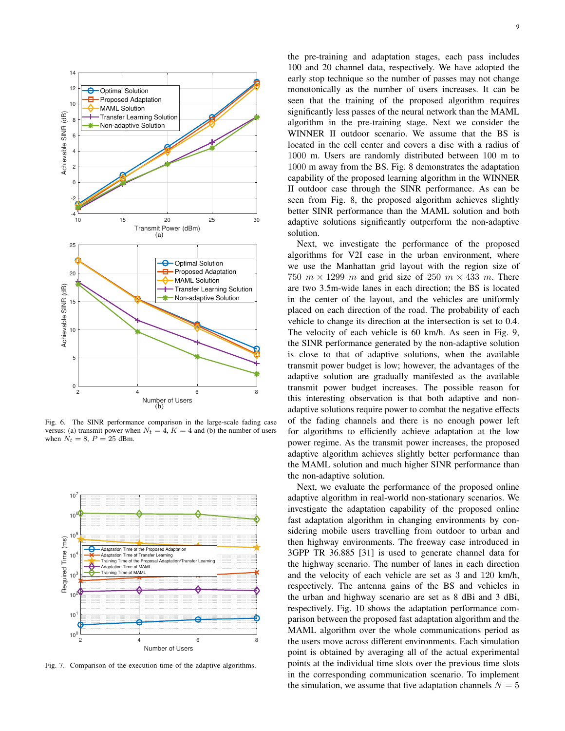

Fig. 6. The SINR performance comparison in the large-scale fading case versus: (a) transmit power when  $N_t = 4$ ,  $K = 4$  and (b) the number of users when  $N_t = 8$ ,  $P = 25$  dBm.



Fig. 7. Comparison of the execution time of the adaptive algorithms.

the pre-training and adaptation stages, each pass includes 100 and 20 channel data, respectively. We have adopted the early stop technique so the number of passes may not change monotonically as the number of users increases. It can be seen that the training of the proposed algorithm requires significantly less passes of the neural network than the MAML algorithm in the pre-training stage. Next we consider the WINNER II outdoor scenario. We assume that the BS is located in the cell center and covers a disc with a radius of 1000 m. Users are randomly distributed between 100 m to 1000 m away from the BS. Fig. 8 demonstrates the adaptation capability of the proposed learning algorithm in the WINNER II outdoor case through the SINR performance. As can be seen from Fig. 8, the proposed algorithm achieves slightly better SINR performance than the MAML solution and both adaptive solutions significantly outperform the non-adaptive solution.

Next, we investigate the performance of the proposed algorithms for V2I case in the urban environment, where we use the Manhattan grid layout with the region size of 750  $m \times 1299$  m and grid size of 250  $m \times 433$  m. There are two 3.5m-wide lanes in each direction; the BS is located in the center of the layout, and the vehicles are uniformly placed on each direction of the road. The probability of each vehicle to change its direction at the intersection is set to 0.4. The velocity of each vehicle is 60 km/h. As seen in Fig. 9, the SINR performance generated by the non-adaptive solution is close to that of adaptive solutions, when the available transmit power budget is low; however, the advantages of the adaptive solution are gradually manifested as the available transmit power budget increases. The possible reason for this interesting observation is that both adaptive and nonadaptive solutions require power to combat the negative effects of the fading channels and there is no enough power left for algorithms to efficiently achieve adaptation at the low power regime. As the transmit power increases, the proposed adaptive algorithm achieves slightly better performance than the MAML solution and much higher SINR performance than the non-adaptive solution.

Next, we evaluate the performance of the proposed online adaptive algorithm in real-world non-stationary scenarios. We investigate the adaptation capability of the proposed online fast adaptation algorithm in changing environments by considering mobile users travelling from outdoor to urban and then highway environments. The freeway case introduced in 3GPP TR 36.885 [31] is used to generate channel data for the highway scenario. The number of lanes in each direction and the velocity of each vehicle are set as 3 and 120 km/h, respectively. The antenna gains of the BS and vehicles in the urban and highway scenario are set as 8 dBi and 3 dBi, respectively. Fig. 10 shows the adaptation performance comparison between the proposed fast adaptation algorithm and the MAML algorithm over the whole communications period as the users move across different environments. Each simulation point is obtained by averaging all of the actual experimental points at the individual time slots over the previous time slots in the corresponding communication scenario. To implement the simulation, we assume that five adaptation channels  $N = 5$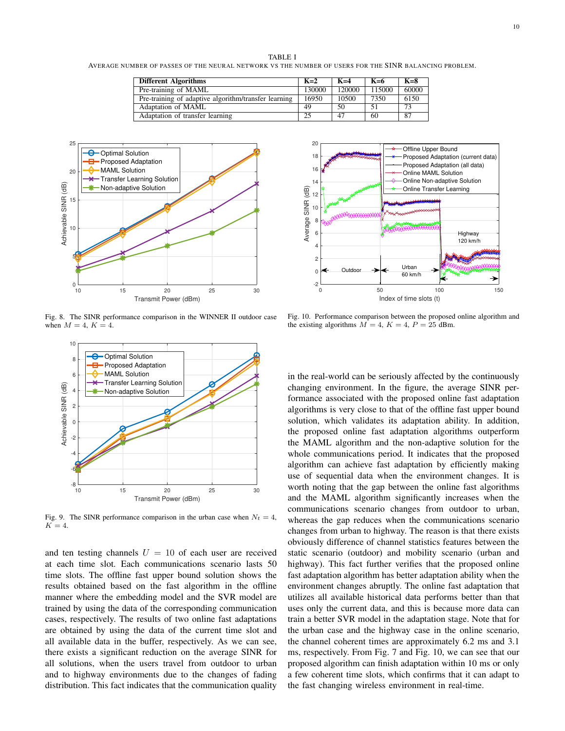TABLE I AVERAGE NUMBER OF PASSES OF THE NEURAL NETWORK VS THE NUMBER OF USERS FOR THE SINR BALANCING PROBLEM.

| <b>Different Algorithms</b>                          | $K=2$  | $K=4$  | $K=6$  | $K=8$ |
|------------------------------------------------------|--------|--------|--------|-------|
| Pre-training of MAML                                 | 130000 | 120000 | 115000 | 60000 |
| Pre-training of adaptive algorithm/transfer learning | 16950  | 10500  | 7350   | 6150  |
| Adaptation of MAML                                   | 49     | 50     |        | 73    |
| Adaptation of transfer learning                      | 25     | 47     | 60     | 87    |



Fig. 8. The SINR performance comparison in the WINNER II outdoor case when  $M = 4$ ,  $K = 4$ .



Fig. 9. The SINR performance comparison in the urban case when  $N_t = 4$ ,  $K = 4$ .

and ten testing channels  $U = 10$  of each user are received at each time slot. Each communications scenario lasts 50 time slots. The offline fast upper bound solution shows the results obtained based on the fast algorithm in the offline manner where the embedding model and the SVR model are trained by using the data of the corresponding communication cases, respectively. The results of two online fast adaptations are obtained by using the data of the current time slot and all available data in the buffer, respectively. As we can see, there exists a significant reduction on the average SINR for all solutions, when the users travel from outdoor to urban and to highway environments due to the changes of fading distribution. This fact indicates that the communication quality



Fig. 10. Performance comparison between the proposed online algorithm and the existing algorithms  $M = 4$ ,  $K = 4$ ,  $P = 25$  dBm.

in the real-world can be seriously affected by the continuously changing environment. In the figure, the average SINR performance associated with the proposed online fast adaptation algorithms is very close to that of the offline fast upper bound solution, which validates its adaptation ability. In addition, the proposed online fast adaptation algorithms outperform the MAML algorithm and the non-adaptive solution for the whole communications period. It indicates that the proposed algorithm can achieve fast adaptation by efficiently making use of sequential data when the environment changes. It is worth noting that the gap between the online fast algorithms and the MAML algorithm significantly increases when the communications scenario changes from outdoor to urban, whereas the gap reduces when the communications scenario changes from urban to highway. The reason is that there exists obviously difference of channel statistics features between the static scenario (outdoor) and mobility scenario (urban and highway). This fact further verifies that the proposed online fast adaptation algorithm has better adaptation ability when the environment changes abruptly. The online fast adaptation that utilizes all available historical data performs better than that uses only the current data, and this is because more data can train a better SVR model in the adaptation stage. Note that for the urban case and the highway case in the online scenario, the channel coherent times are approximately 6.2 ms and 3.1 ms, respectively. From Fig. 7 and Fig. 10, we can see that our proposed algorithm can finish adaptation within 10 ms or only a few coherent time slots, which confirms that it can adapt to the fast changing wireless environment in real-time.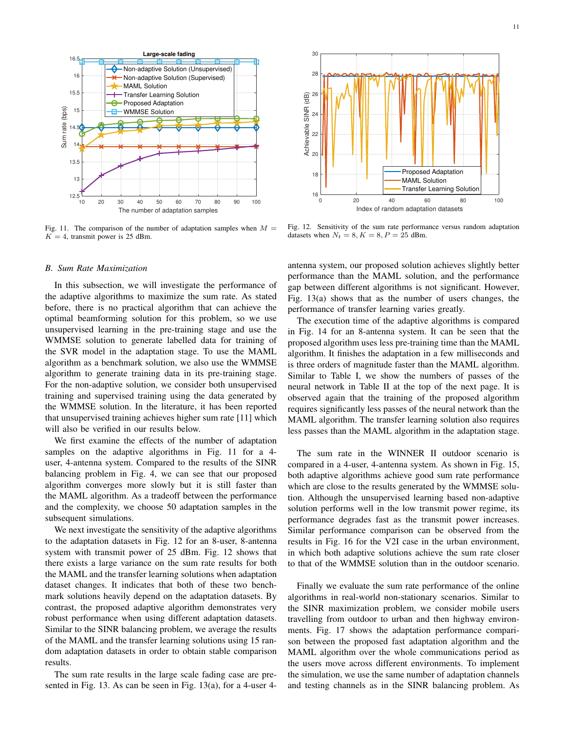

Fig. 11. The comparison of the number of adaptation samples when  $M =$  $K = 4$ , transmit power is 25 dBm.

#### *B. Sum Rate Maximization*

In this subsection, we will investigate the performance of the adaptive algorithms to maximize the sum rate. As stated before, there is no practical algorithm that can achieve the optimal beamforming solution for this problem, so we use unsupervised learning in the pre-training stage and use the WMMSE solution to generate labelled data for training of the SVR model in the adaptation stage. To use the MAML algorithm as a benchmark solution, we also use the WMMSE algorithm to generate training data in its pre-training stage. For the non-adaptive solution, we consider both unsupervised training and supervised training using the data generated by the WMMSE solution. In the literature, it has been reported that unsupervised training achieves higher sum rate [11] which will also be verified in our results below.

We first examine the effects of the number of adaptation samples on the adaptive algorithms in Fig. 11 for a 4 user, 4-antenna system. Compared to the results of the SINR balancing problem in Fig. 4, we can see that our proposed algorithm converges more slowly but it is still faster than the MAML algorithm. As a tradeoff between the performance and the complexity, we choose 50 adaptation samples in the subsequent simulations.

We next investigate the sensitivity of the adaptive algorithms to the adaptation datasets in Fig. 12 for an 8-user, 8-antenna system with transmit power of 25 dBm. Fig. 12 shows that there exists a large variance on the sum rate results for both the MAML and the transfer learning solutions when adaptation dataset changes. It indicates that both of these two benchmark solutions heavily depend on the adaptation datasets. By contrast, the proposed adaptive algorithm demonstrates very robust performance when using different adaptation datasets. Similar to the SINR balancing problem, we average the results of the MAML and the transfer learning solutions using 15 random adaptation datasets in order to obtain stable comparison results.

The sum rate results in the large scale fading case are presented in Fig. 13. As can be seen in Fig. 13(a), for a 4-user 4-



Fig. 12. Sensitivity of the sum rate performance versus random adaptation datasets when  $N_t = 8, K = 8, P = 25$  dBm.

antenna system, our proposed solution achieves slightly better performance than the MAML solution, and the performance gap between different algorithms is not significant. However, Fig. 13(a) shows that as the number of users changes, the performance of transfer learning varies greatly.

The execution time of the adaptive algorithms is compared in Fig. 14 for an 8-antenna system. It can be seen that the proposed algorithm uses less pre-training time than the MAML algorithm. It finishes the adaptation in a few milliseconds and is three orders of magnitude faster than the MAML algorithm. Similar to Table I, we show the numbers of passes of the neural network in Table II at the top of the next page. It is observed again that the training of the proposed algorithm requires significantly less passes of the neural network than the MAML algorithm. The transfer learning solution also requires less passes than the MAML algorithm in the adaptation stage.

The sum rate in the WINNER II outdoor scenario is compared in a 4-user, 4-antenna system. As shown in Fig. 15, both adaptive algorithms achieve good sum rate performance which are close to the results generated by the WMMSE solution. Although the unsupervised learning based non-adaptive solution performs well in the low transmit power regime, its performance degrades fast as the transmit power increases. Similar performance comparison can be observed from the results in Fig. 16 for the V2I case in the urban environment, in which both adaptive solutions achieve the sum rate closer to that of the WMMSE solution than in the outdoor scenario.

Finally we evaluate the sum rate performance of the online algorithms in real-world non-stationary scenarios. Similar to the SINR maximization problem, we consider mobile users travelling from outdoor to urban and then highway environments. Fig. 17 shows the adaptation performance comparison between the proposed fast adaptation algorithm and the MAML algorithm over the whole communications period as the users move across different environments. To implement the simulation, we use the same number of adaptation channels and testing channels as in the SINR balancing problem. As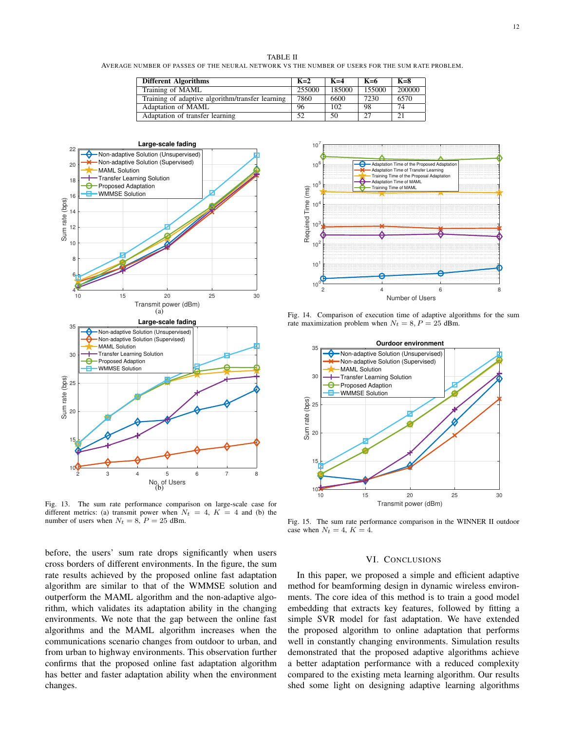TABLE II AVERAGE NUMBER OF PASSES OF THE NEURAL NETWORK VS THE NUMBER OF USERS FOR THE SUM RATE PROBLEM.

| <b>Different Algorithms</b>                      | $K=2$  | $K=4$  | $K=6$  | $K=8$          |
|--------------------------------------------------|--------|--------|--------|----------------|
| Training of MAML                                 | 255000 | 185000 | 155000 | 200000         |
| Training of adaptive algorithm/transfer learning | 7860   | 6600   | 7230   | 6570           |
| Adaptation of MAML                               | 96     | 102    | 98     | 74             |
| Adaptation of transfer learning                  | 52     | 50     | 27     | 2 <sup>1</sup> |



Fig. 13. The sum rate performance comparison on large-scale case for different metrics: (a) transmit power when  $N_t = 4$ ,  $K = 4$  and (b) the number of users when  $N_t = 8$ ,  $P = 25$  dBm.

before, the users' sum rate drops significantly when users cross borders of different environments. In the figure, the sum rate results achieved by the proposed online fast adaptation algorithm are similar to that of the WMMSE solution and outperform the MAML algorithm and the non-adaptive algorithm, which validates its adaptation ability in the changing environments. We note that the gap between the online fast algorithms and the MAML algorithm increases when the communications scenario changes from outdoor to urban, and from urban to highway environments. This observation further confirms that the proposed online fast adaptation algorithm has better and faster adaptation ability when the environment changes.



Fig. 14. Comparison of execution time of adaptive algorithms for the sum rate maximization problem when  $N_t = 8, P = 25$  dBm.



Fig. 15. The sum rate performance comparison in the WINNER II outdoor case when  $N_t = 4$ ,  $K = 4$ .

## VI. CONCLUSIONS

In this paper, we proposed a simple and efficient adaptive method for beamforming design in dynamic wireless environments. The core idea of this method is to train a good model embedding that extracts key features, followed by fitting a simple SVR model for fast adaptation. We have extended the proposed algorithm to online adaptation that performs well in constantly changing environments. Simulation results demonstrated that the proposed adaptive algorithms achieve a better adaptation performance with a reduced complexity compared to the existing meta learning algorithm. Our results shed some light on designing adaptive learning algorithms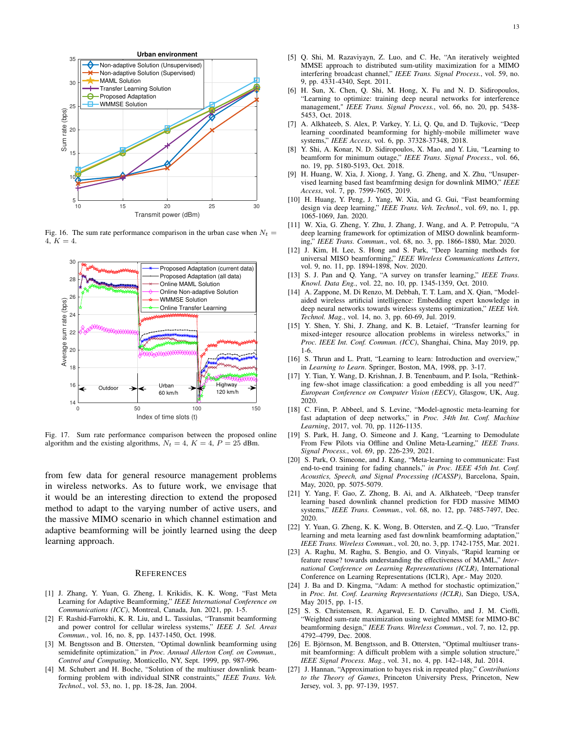

Fig. 16. The sum rate performance comparison in the urban case when  $N_t$  = 4,  $K = 4$ .



Fig. 17. Sum rate performance comparison between the proposed online algorithm and the existing algorithms,  $N_t = 4$ ,  $K = 4$ ,  $P = 25$  dBm.

from few data for general resource management problems in wireless networks. As to future work, we envisage that it would be an interesting direction to extend the proposed method to adapt to the varying number of active users, and the massive MIMO scenario in which channel estimation and adaptive beamforming will be jointly learned using the deep learning approach.

#### **REFERENCES**

- [1] J. Zhang, Y. Yuan, G. Zheng, I. Krikidis, K. K. Wong, "Fast Meta Learning for Adaptive Beamforming," *IEEE International Conference on Communications (ICC)*, Montreal, Canada, Jun. 2021, pp. 1-5.
- [2] F. Rashid-Farrokhi, K. R. Liu, and L. Tassiulas, "Transmit beamforming and power control for cellular wireless systems," *IEEE J. Sel. Areas Commun.*, vol. 16, no. 8, pp. 1437-1450, Oct. 1998.
- [3] M. Bengtsson and B. Ottersten, "Optimal downlink beamforming using semidefinite optimization," in *Proc. Annual Allerton Conf. on Commun., Control and Computing*, Monticello, NY, Sept. 1999, pp. 987-996.
- [4] M. Schubert and H. Boche, "Solution of the multiuser downlink beamforming problem with individual SINR constraints," *IEEE Trans. Veh. Technol.*, vol. 53, no. 1, pp. 18-28, Jan. 2004.
- [5] Q. Shi, M. Razaviyayn, Z. Luo, and C. He, "An iteratively weighted MMSE approach to distributed sum-utility maximization for a MIMO interfering broadcast channel," *IEEE Trans. Signal Process.*, vol. 59, no. 9, pp. 4331-4340, Sept. 2011.
- [6] H. Sun, X. Chen, Q. Shi, M. Hong, X. Fu and N. D. Sidiropoulos, "Learning to optimize: training deep neural networks for interference management," *IEEE Trans. Signal Process.*, vol. 66, no. 20, pp. 5438- 5453, Oct. 2018.
- [7] A. Alkhateeb, S. Alex, P. Varkey, Y. Li, Q. Qu, and D. Tujkovic, "Deep learning coordinated beamforming for highly-mobile millimeter wave systems," *IEEE Access*, vol. 6, pp. 37328-37348, 2018.
- [8] Y. Shi, A. Konar, N. D. Sidiropoulos, X. Mao, and Y. Liu, "Learning to beamform for minimum outage," *IEEE Trans. Signal Process.*, vol. 66, no. 19, pp. 5180-5193, Oct. 2018.
- [9] H. Huang, W. Xia, J. Xiong, J. Yang, G. Zheng, and X. Zhu, "Unsupervised learning based fast beamfrming design for downlink MIMO," *IEEE Access*, vol. 7, pp. 7599-7605, 2019.
- [10] H. Huang, Y. Peng, J. Yang, W. Xia, and G. Gui, "Fast beamforming design via deep learning," *IEEE Trans. Veh. Technol.*, vol. 69, no. 1, pp. 1065-1069, Jan. 2020.
- [11] W. Xia, G. Zheng, Y. Zhu, J. Zhang, J. Wang, and A. P. Petropulu, "A deep learning framework for optimization of MISO downlink beamforming," *IEEE Trans. Commun.*, vol. 68, no. 3, pp. 1866-1880, Mar. 2020.
- [12] J. Kim, H. Lee, S. Hong and S. Park, "Deep learning methods for universal MISO beamforming," *IEEE Wireless Communications Letters*, vol. 9, no. 11, pp. 1894-1898, Nov. 2020.
- [13] S. J. Pan and Q. Yang, "A survey on transfer learning," *IEEE Trans. Knowl. Data Eng.*, vol. 22, no. 10, pp. 1345-1359, Oct. 2010.
- [14] A. Zappone, M. Di Renzo, M. Debbah, T. T. Lam, and X. Qian, "Modelaided wireless artificial intelligence: Embedding expert knowledge in deep neural networks towards wireless systems optimization," *IEEE Veh. Technol. Mag.*, vol. 14, no. 3, pp. 60-69, Jul. 2019.
- [15] Y. Shen, Y. Shi, J. Zhang, and K. B. Letaief, "Transfer learning for mixed-integer resource allocation problems in wireless networks," in *Proc. IEEE Int. Conf. Commun. (ICC)*, Shanghai, China, May 2019, pp. 1-6.
- [16] S. Thrun and L. Pratt, "Learning to learn: Introduction and overview," in *Learning to Learn*. Springer, Boston, MA, 1998, pp. 3-17.
- [17] Y. Tian, Y. Wang, D. Krishnan, J. B. Tenenbaum, and P. Isola, "Rethinking few-shot image classification: a good embedding is all you need?" *European Conference on Computer Vision (EECV)*, Glasgow, UK, Aug. 2020.
- [18] C. Finn, P. Abbeel, and S. Levine, "Model-agnostic meta-learning for fast adaptation of deep networks," in *Proc. 34th Int. Conf. Machine Learning*, 2017, vol. 70, pp. 1126-1135.
- [19] S. Park, H. Jang, O. Simeone and J. Kang, "Learning to Demodulate From Few Pilots via Offline and Online Meta-Learning," *IEEE Trans. Signal Process.*, vol. 69, pp. 226-239, 2021.
- [20] S. Park, O. Simeone, and J. Kang, "Meta-learning to communicate: Fast end-to-end training for fading channels," *in Proc. IEEE 45th Int. Conf. Acoustics, Speech, and Signal Processing (ICASSP)*, Barcelona, Spain, May, 2020, pp. 5075-5079.
- [21] Y. Yang, F. Gao, Z. Zhong, B. Ai, and A. Alkhateeb, "Deep transfer learning based downlink channel prediction for FDD massive MIMO systems," *IEEE Trans. Commun.*, vol. 68, no. 12, pp. 7485-7497, Dec. 2020.
- [22] Y. Yuan, G. Zheng, K. K. Wong, B. Ottersten, and Z.-Q. Luo, "Transfer learning and meta learning ased fast downlink beamforming adaptation," *IEEE Trans. Wireless Commun.*, vol. 20, no. 3, pp. 1742-1755, Mar. 2021.
- [23] A. Raghu, M. Raghu, S. Bengio, and O. Vinyals, "Rapid learning or feature reuse? towards understanding the effectiveness of MAML," *International Conference on Learning Representations (ICLR)*, International Conference on Learning Representations (ICLR), Apr.- May 2020.
- [24] J. Ba and D. Kingma, "Adam: A method for stochastic optimization," in *Proc. Int. Conf. Learning Representations (ICLR)*, San Diego, USA, May 2015, pp. 1-15.
- [25] S. S. Christensen, R. Agarwal, E. D. Carvalho, and J. M. Cioffi, Weighted sum-rate maximization using weighted MMSE for MIMO-BC beamforming design," *IEEE Trans. Wireless Commun.*, vol. 7, no. 12, pp. 4792–4799, Dec. 2008.
- [26] E. Björnson, M. Bengtsson, and B. Ottersten, "Optimal multiuser transmit beamforming: A difficult problem with a simple solution structure," *IEEE Signal Process. Mag.*, vol. 31, no. 4, pp. 142–148, Jul. 2014.
- [27] J. Hannan, "Approximation to bayes risk in repeated play," *Contributions to the Theory of Games*, Princeton University Press, Princeton, New Jersey, vol. 3, pp. 97-139, 1957.